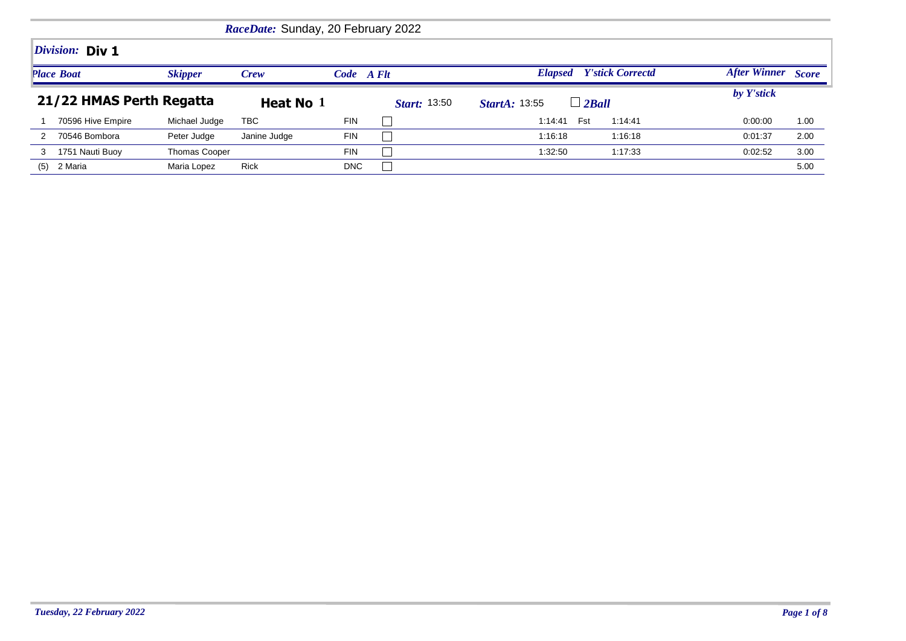|                                     |                          |                      | RaceDate: Sunday, 20 February 2022 |            |                     |                                           |                     |              |
|-------------------------------------|--------------------------|----------------------|------------------------------------|------------|---------------------|-------------------------------------------|---------------------|--------------|
|                                     | <i>Division:</i> Div 1   |                      |                                    |            |                     |                                           |                     |              |
| <b>Skipper</b><br><b>Place Boat</b> |                          |                      | Crew                               | Code A Flt |                     | <b>Y'stick Correctd</b><br><b>Elapsed</b> | <b>After Winner</b> | <b>Score</b> |
|                                     | 21/22 HMAS Perth Regatta |                      | Heat No 1                          |            | <b>Start:</b> 13:50 | $\Box$ 2Ball<br><b>StartA: 13:55</b>      | by Y'stick          |              |
|                                     | 70596 Hive Empire        | Michael Judge        | TBC                                | <b>FIN</b> |                     | Fst<br>1:14:41<br>1:14:41                 | 0:00:00             | 1.00         |
|                                     | 70546 Bombora            | Peter Judge          | Janine Judge                       | <b>FIN</b> |                     | 1:16:18<br>1:16:18                        | 0:01:37             | 2.00         |
| 3                                   | 1751 Nauti Buoy          | <b>Thomas Cooper</b> |                                    | <b>FIN</b> |                     | 1:32:50<br>1:17:33                        | 0:02:52             | 3.00         |
| (5)                                 | 2 Maria                  | Maria Lopez          | <b>Rick</b>                        | DNC        |                     |                                           |                     | 5.00         |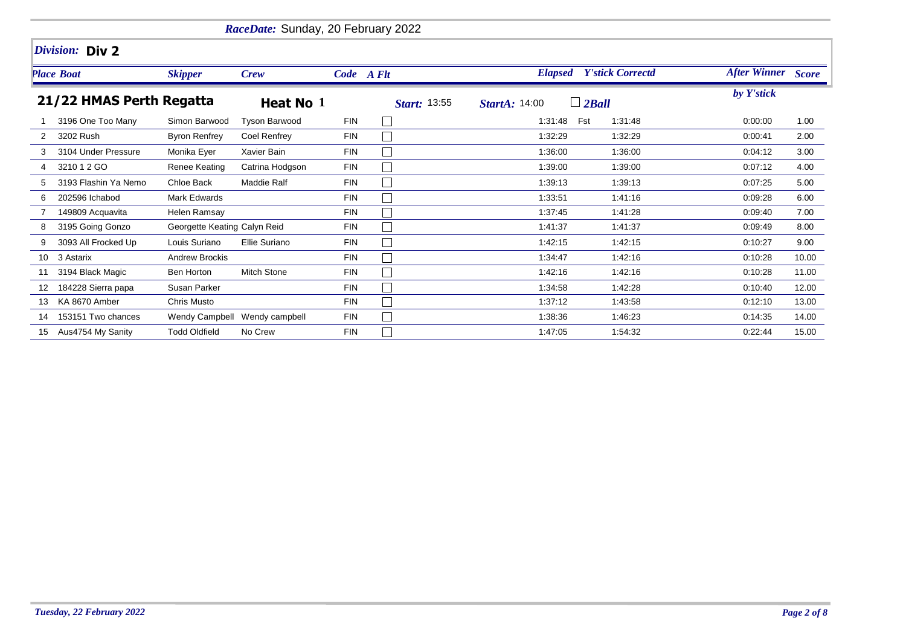|                          |                      |                              | RaceDate: Sunday, 20 February 2022 |                     |                                      |            |                                 |                           |       |
|--------------------------|----------------------|------------------------------|------------------------------------|---------------------|--------------------------------------|------------|---------------------------------|---------------------------|-------|
|                          | Division: Div 2      |                              |                                    |                     |                                      |            |                                 |                           |       |
|                          | <b>Place Boat</b>    | <b>Skipper</b>               | <b>Crew</b>                        |                     | Code A Flt                           |            | <b>Elapsed</b> Y'stick Correctd | <b>After Winner</b> Score |       |
| 21/22 HMAS Perth Regatta |                      | Heat No 1                    |                                    | <b>Start: 13:55</b> | $\Box$ 2Ball<br><b>StartA: 14:00</b> | by Y'stick |                                 |                           |       |
|                          | 3196 One Too Many    | Simon Barwood                | <b>Tyson Barwood</b>               | <b>FIN</b>          | $\mathbb{R}^n$                       | 1:31:48    | Fst<br>1:31:48                  | 0:00:00                   | 1.00  |
| 2                        | 3202 Rush            | <b>Byron Renfrey</b>         | Coel Renfrey                       | <b>FIN</b>          | $\mathbf{L}$                         | 1:32:29    | 1:32:29                         | 0:00:41                   | 2.00  |
| 3                        | 3104 Under Pressure  | Monika Eyer                  | Xavier Bain                        | <b>FIN</b>          | $\mathbb{R}^n$                       | 1:36:00    | 1:36:00                         | 0:04:12                   | 3.00  |
| 4                        | 3210 1 2 GO          | Renee Keating                | Catrina Hodgson                    | <b>FIN</b>          | $\Box$                               | 1:39:00    | 1:39:00                         | 0:07:12                   | 4.00  |
| 5                        | 3193 Flashin Ya Nemo | Chloe Back                   | <b>Maddie Ralf</b>                 | <b>FIN</b>          | $\Box$                               | 1:39:13    | 1:39:13                         | 0:07:25                   | 5.00  |
| 6                        | 202596 Ichabod       | <b>Mark Edwards</b>          |                                    | <b>FIN</b>          | $\mathbb{R}^n$                       | 1:33:51    | 1:41:16                         | 0:09:28                   | 6.00  |
|                          | 149809 Acquavita     | Helen Ramsay                 |                                    | <b>FIN</b>          |                                      | 1:37:45    | 1:41:28                         | 0:09:40                   | 7.00  |
| 8                        | 3195 Going Gonzo     | Georgette Keating Calyn Reid |                                    | <b>FIN</b>          | $\Box$                               | 1:41:37    | 1:41:37                         | 0.09.49                   | 8.00  |
| 9                        | 3093 All Frocked Up  | Louis Suriano                | Ellie Suriano                      | <b>FIN</b>          | $\Box$                               | 1:42:15    | 1:42:15                         | 0:10:27                   | 9.00  |
| 10 <sup>°</sup>          | 3 Astarix            | <b>Andrew Brockis</b>        |                                    | <b>FIN</b>          | $\Box$                               | 1:34:47    | 1:42:16                         | 0:10:28                   | 10.00 |
|                          | 3194 Black Magic     | Ben Horton                   | <b>Mitch Stone</b>                 | <b>FIN</b>          | $\mathbb{R}^n$                       | 1:42:16    | 1:42:16                         | 0:10:28                   | 11.00 |
|                          | 184228 Sierra papa   | Susan Parker                 |                                    | <b>FIN</b>          | $\Box$                               | 1:34:58    | 1:42:28                         | 0:10:40                   | 12.00 |
| 13                       | KA 8670 Amber        | Chris Musto                  |                                    | <b>FIN</b>          |                                      | 1:37:12    | 1:43:58                         | 0:12:10                   | 13.00 |
| 14                       | 153151 Two chances   |                              | Wendy Campbell Wendy campbell      | <b>FIN</b>          | $\Box$                               | 1:38:36    | 1:46:23                         | 0.14:35                   | 14.00 |
| 15                       | Aus4754 My Sanity    | <b>Todd Oldfield</b>         | No Crew                            | <b>FIN</b>          |                                      | 1:47:05    | 1:54:32                         | 0:22:44                   | 15.00 |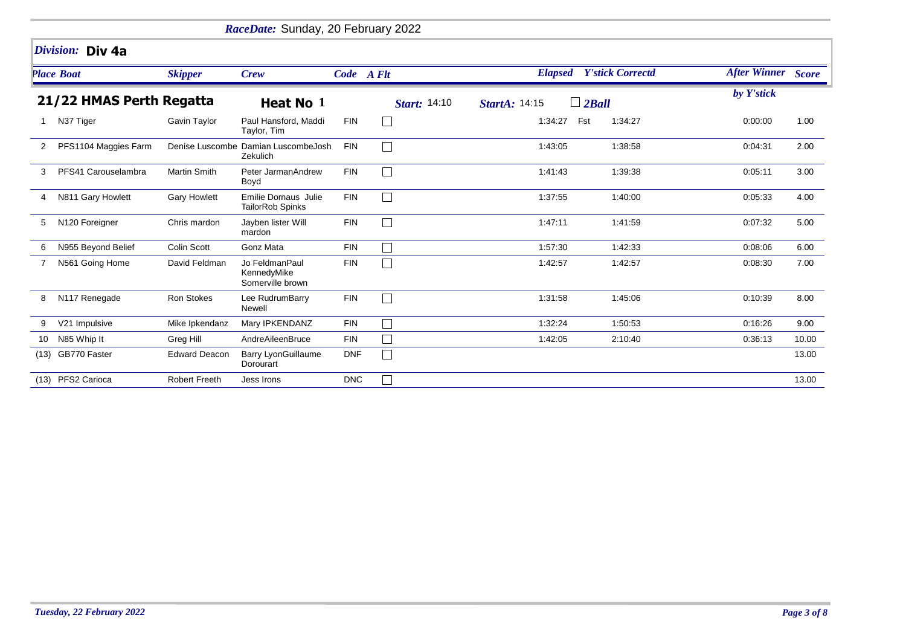|                 | RaceDate: Sunday, 20 February 2022 |                      |                                                   |            |                             |                      |                                 |                    |       |  |  |  |
|-----------------|------------------------------------|----------------------|---------------------------------------------------|------------|-----------------------------|----------------------|---------------------------------|--------------------|-------|--|--|--|
|                 | Division: Div 4a                   |                      |                                                   |            |                             |                      |                                 |                    |       |  |  |  |
|                 | <b>Place Boat</b>                  | <b>Skipper</b>       | <b>Crew</b>                                       | Code A Flt |                             |                      | <b>Elapsed</b> Y'stick Correctd | After Winner Score |       |  |  |  |
|                 | 21/22 HMAS Perth Regatta           |                      | Heat No 1                                         |            | Start: 14:10                | <b>StartA: 14:15</b> | $\Box$ 2Ball                    | by Y'stick         |       |  |  |  |
| 1               | N37 Tiger                          | Gavin Taylor         | Paul Hansford, Maddi<br>Taylor, Tim               | <b>FIN</b> | $\Box$                      | 1:34:27              | Fst<br>1:34:27                  | 0:00:00            | 1.00  |  |  |  |
| 2               | PFS1104 Maggies Farm               |                      | Denise Luscombe Damian LuscombeJosh<br>Zekulich   | <b>FIN</b> | $\overline{\phantom{0}}$    | 1:43:05              | 1:38:58                         | 0:04:31            | 2.00  |  |  |  |
| 3               | PFS41 Carouselambra                | <b>Martin Smith</b>  | Peter JarmanAndrew<br>Boyd                        | <b>FIN</b> | $\Box$                      | 1:41:43              | 1:39:38                         | 0:05:11            | 3.00  |  |  |  |
| 4               | N811 Gary Howlett                  | <b>Gary Howlett</b>  | Emilie Dornaus Julie<br>TailorRob Spinks          | <b>FIN</b> | $\mathcal{L}_{\mathcal{A}}$ | 1:37:55              | 1:40:00                         | 0:05:33            | 4.00  |  |  |  |
| 5               | N120 Foreigner                     | Chris mardon         | Jayben lister Will<br>mardon                      | <b>FIN</b> | $\Box$                      | 1:47:11              | 1:41:59                         | 0:07:32            | 5.00  |  |  |  |
| 6               | N955 Beyond Belief                 | <b>Colin Scott</b>   | Gonz Mata                                         | <b>FIN</b> | $\mathcal{L}_{\mathcal{A}}$ | 1:57:30              | 1:42:33                         | 0:08:06            | 6.00  |  |  |  |
|                 | N561 Going Home                    | David Feldman        | Jo FeldmanPaul<br>KennedyMike<br>Somerville brown | <b>FIN</b> |                             | 1:42:57              | 1:42:57                         | 0:08:30            | 7.00  |  |  |  |
| 8               | N117 Renegade                      | Ron Stokes           | Lee RudrumBarry<br>Newell                         | <b>FIN</b> | $\Box$                      | 1:31:58              | 1:45:06                         | 0:10:39            | 8.00  |  |  |  |
| 9               | V21 Impulsive                      | Mike Ipkendanz       | Mary IPKENDANZ                                    | <b>FIN</b> | $\mathcal{L}_{\mathcal{A}}$ | 1:32:24              | 1:50:53                         | 0:16:26            | 9.00  |  |  |  |
| 10 <sup>°</sup> | N85 Whip It                        | Greg Hill            | AndreAileenBruce                                  | <b>FIN</b> | Π                           | 1:42:05              | 2:10:40                         | 0:36:13            | 10.00 |  |  |  |
|                 | (13) GB770 Faster                  | <b>Edward Deacon</b> | <b>Barry LyonGuillaume</b><br>Dorourart           | <b>DNF</b> | $\Box$                      |                      |                                 |                    | 13.00 |  |  |  |
|                 | (13) PFS2 Carioca                  | <b>Robert Freeth</b> | Jess Irons                                        | <b>DNC</b> | $\Box$                      |                      |                                 |                    | 13.00 |  |  |  |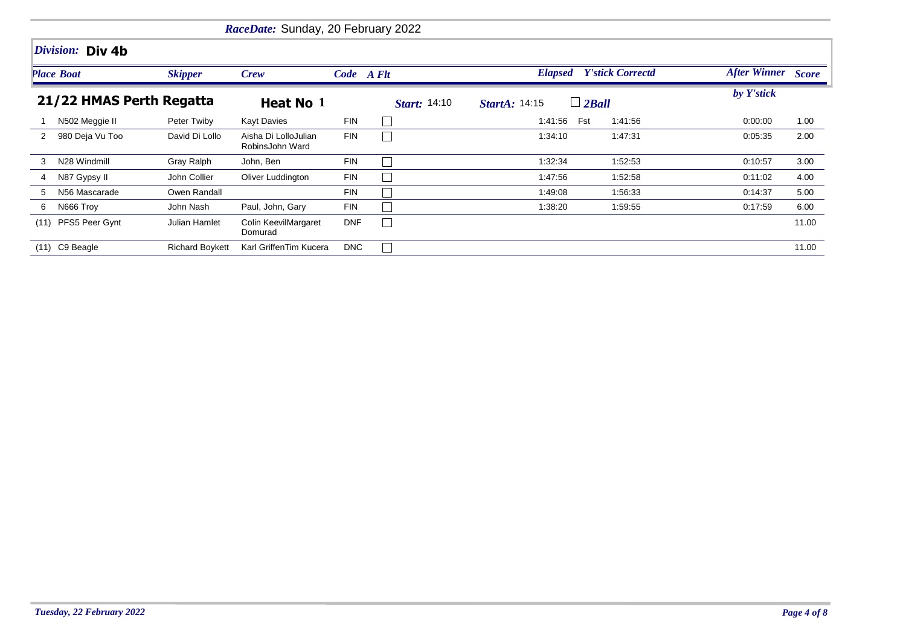|      | RaceDate: Sunday, 20 February 2022 |                        |                                         |            |                     |                                      |         |                           |       |  |  |  |  |
|------|------------------------------------|------------------------|-----------------------------------------|------------|---------------------|--------------------------------------|---------|---------------------------|-------|--|--|--|--|
|      | Division: Div 4b                   |                        |                                         |            |                     |                                      |         |                           |       |  |  |  |  |
|      | <b>Place Boat</b>                  | <b>Skipper</b>         | Crew                                    |            | Code A Flt          | <b>Elapsed</b> Y'stick Correctd      |         | <b>After Winner</b> Score |       |  |  |  |  |
|      | 21/22 HMAS Perth Regatta           |                        | Heat No 1                               |            | <i>Start:</i> 14:10 | $\Box$ 2Ball<br><b>StartA: 14:15</b> |         | by Y'stick                |       |  |  |  |  |
|      | N502 Meggie II                     | Peter Twiby            | <b>Kayt Davies</b>                      | <b>FIN</b> |                     | 1:41:56<br>Fst                       | 1:41:56 | 0:00:00                   | 1.00  |  |  |  |  |
| 2    | 980 Deja Vu Too                    | David Di Lollo         | Aisha Di LolloJulian<br>RobinsJohn Ward | <b>FIN</b> |                     | 1:34:10                              | 1:47:31 | 0:05:35                   | 2.00  |  |  |  |  |
| 3    | N28 Windmill                       | Gray Ralph             | John, Ben                               | <b>FIN</b> |                     | 1:32:34                              | 1:52:53 | 0:10:57                   | 3.00  |  |  |  |  |
| 4    | N87 Gypsy II                       | John Collier           | Oliver Luddington                       | <b>FIN</b> |                     | 1:47:56                              | 1:52:58 | 0:11:02                   | 4.00  |  |  |  |  |
| 5    | N56 Mascarade                      | Owen Randall           |                                         | <b>FIN</b> |                     | 1:49:08                              | 1:56:33 | 0:14:37                   | 5.00  |  |  |  |  |
| 6    | N666 Troy                          | John Nash              | Paul, John, Gary                        | <b>FIN</b> |                     | 1:38:20                              | 1:59:55 | 0:17:59                   | 6.00  |  |  |  |  |
| (11) | PFS5 Peer Gynt                     | Julian Hamlet          | Colin KeevilMargaret<br>Domurad         | <b>DNF</b> |                     |                                      |         |                           | 11.00 |  |  |  |  |
| (11) | C9 Beagle                          | <b>Richard Boykett</b> | Karl GriffenTim Kucera                  | <b>DNC</b> | $\Box$              |                                      |         |                           | 11.00 |  |  |  |  |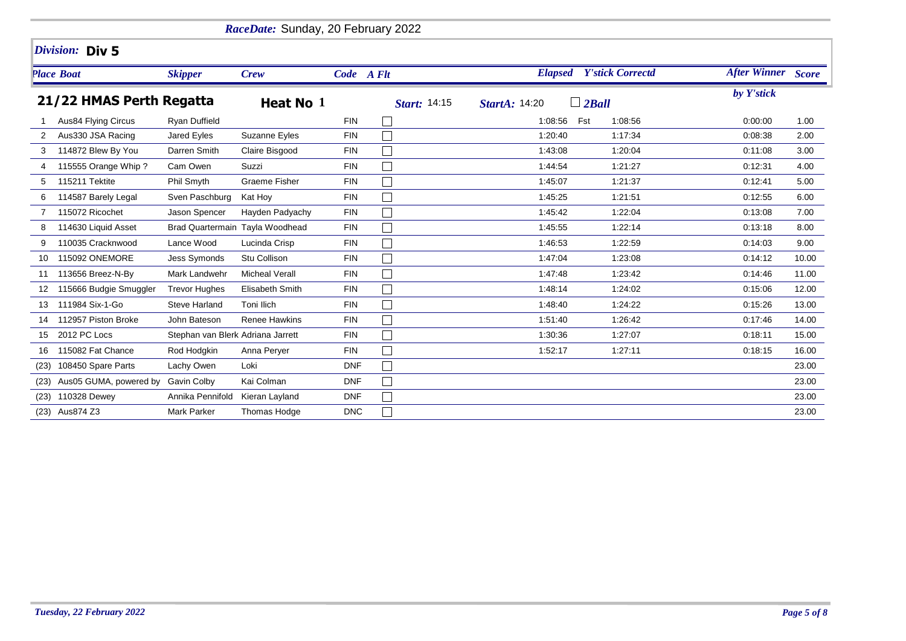|                          | RaceDate: Sunday, 20 February 2022 |                                   |                                 |            |              |                                      |                                 |                           |       |  |  |  |
|--------------------------|------------------------------------|-----------------------------------|---------------------------------|------------|--------------|--------------------------------------|---------------------------------|---------------------------|-------|--|--|--|
|                          | Division: Div 5                    |                                   |                                 |            |              |                                      |                                 |                           |       |  |  |  |
|                          | <b>Place Boat</b>                  | <b>Skipper</b>                    | <b>Crew</b>                     | Code A Flt |              |                                      | <b>Elapsed</b> Y'stick Correctd | <b>After Winner</b> Score |       |  |  |  |
| 21/22 HMAS Perth Regatta |                                    |                                   | Heat No 1                       |            | Start: 14:15 | $\Box$ 2Ball<br><b>StartA: 14:20</b> | by Y'stick                      |                           |       |  |  |  |
|                          | Aus84 Flying Circus                | <b>Ryan Duffield</b>              |                                 | <b>FIN</b> |              | Fst<br>1:08:56                       | 1:08:56                         | 0:00:00                   | 1.00  |  |  |  |
| 2                        | Aus330 JSA Racing                  | Jared Eyles                       | Suzanne Eyles                   | <b>FIN</b> |              | 1:20:40                              | 1:17:34                         | 0:08:38                   | 2.00  |  |  |  |
| 3                        | 114872 Blew By You                 | Darren Smith                      | Claire Bisgood                  | <b>FIN</b> |              | 1:43:08                              | 1:20:04                         | 0:11:08                   | 3.00  |  |  |  |
| 4                        | 115555 Orange Whip?                | Cam Owen                          | Suzzi                           | <b>FIN</b> |              | 1:44:54                              | 1:21:27                         | 0:12:31                   | 4.00  |  |  |  |
| 5                        | 115211 Tektite                     | Phil Smyth                        | <b>Graeme Fisher</b>            | <b>FIN</b> |              | 1:45:07                              | 1:21:37                         | 0:12:41                   | 5.00  |  |  |  |
|                          | 114587 Barely Legal                | Sven Paschburg                    | Kat Hoy                         | <b>FIN</b> |              | 1:45:25                              | 1:21:51                         | 0:12:55                   | 6.00  |  |  |  |
|                          | 115072 Ricochet                    | Jason Spencer                     | Hayden Padyachy                 | <b>FIN</b> |              | 1:45:42                              | 1:22:04                         | 0.13.08                   | 7.00  |  |  |  |
| 8                        | 114630 Liquid Asset                |                                   | Brad Quartermain Tayla Woodhead | <b>FIN</b> |              | 1:45:55                              | 1:22:14                         | 0:13:18                   | 8.00  |  |  |  |
| 9                        | 110035 Cracknwood                  | Lance Wood                        | Lucinda Crisp                   | <b>FIN</b> |              | 1:46:53                              | 1:22:59                         | 0:14:03                   | 9.00  |  |  |  |
| 10                       | 115092 ONEMORE                     | <b>Jess Symonds</b>               | Stu Collison                    | <b>FIN</b> |              | 1:47:04                              | 1:23:08                         | 0:14:12                   | 10.00 |  |  |  |
| 11                       | 113656 Breez-N-By                  | Mark Landwehr                     | <b>Micheal Verall</b>           | <b>FIN</b> |              | 1:47:48                              | 1:23:42                         | 0:14:46                   | 11.00 |  |  |  |
| 12                       | 115666 Budgie Smuggler             | <b>Trevor Hughes</b>              | Elisabeth Smith                 | <b>FIN</b> |              | 1:48:14                              | 1:24:02                         | 0:15:06                   | 12.00 |  |  |  |
| 13                       | 111984 Six-1-Go                    | <b>Steve Harland</b>              | Toni Ilich                      | <b>FIN</b> |              | 1:48:40                              | 1:24:22                         | 0:15:26                   | 13.00 |  |  |  |
| 14                       | 112957 Piston Broke                | John Bateson                      | <b>Renee Hawkins</b>            | <b>FIN</b> |              | 1:51:40                              | 1:26:42                         | 0:17:46                   | 14.00 |  |  |  |
| 15                       | 2012 PC Locs                       | Stephan van Blerk Adriana Jarrett |                                 | <b>FIN</b> |              | 1:30:36                              | 1:27:07                         | 0:18:11                   | 15.00 |  |  |  |
| 16                       | 115082 Fat Chance                  | Rod Hodgkin                       | Anna Perver                     | <b>FIN</b> |              | 1:52:17                              | 1:27:11                         | 0:18:15                   | 16.00 |  |  |  |
| (23)                     | 108450 Spare Parts                 | Lachy Owen                        | Loki                            | <b>DNF</b> | $\sim$       |                                      |                                 |                           | 23.00 |  |  |  |
| (23)                     | Aus05 GUMA, powered by             | <b>Gavin Colby</b>                | Kai Colman                      | <b>DNF</b> |              |                                      |                                 |                           | 23.00 |  |  |  |
| (23)                     | 110328 Dewey                       | Annika Pennifold                  | Kieran Layland                  | <b>DNF</b> |              |                                      |                                 |                           | 23.00 |  |  |  |
|                          | (23) Aus874 Z3                     | Mark Parker                       | Thomas Hodge                    | <b>DNC</b> |              |                                      |                                 |                           | 23.00 |  |  |  |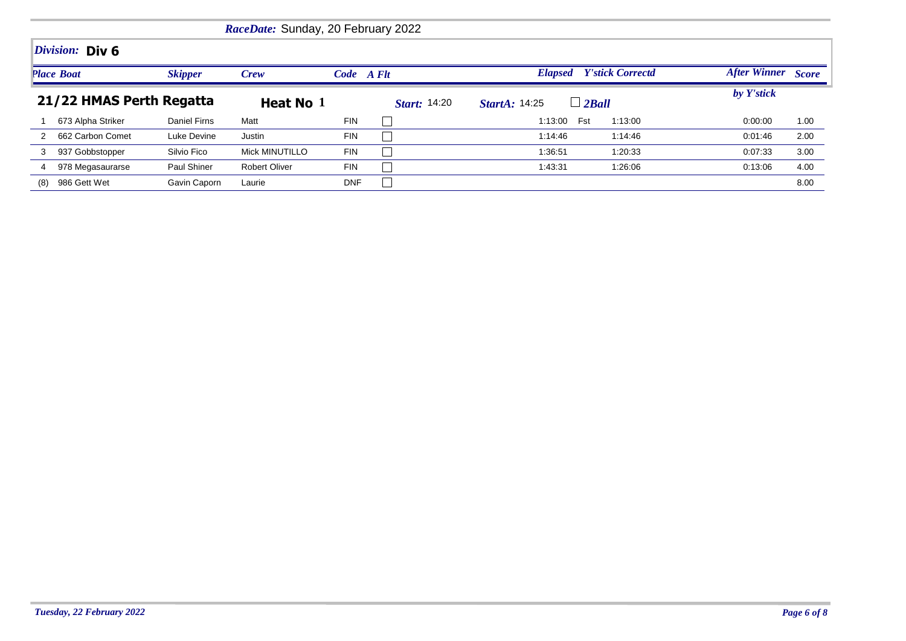|                                     |                   |                     | RaceDate: Sunday, 20 February 2022 |                     |                                      |                                           |                     |              |
|-------------------------------------|-------------------|---------------------|------------------------------------|---------------------|--------------------------------------|-------------------------------------------|---------------------|--------------|
|                                     | Division: Div 6   |                     |                                    |                     |                                      |                                           |                     |              |
| <b>Place Boat</b><br><b>Skipper</b> |                   |                     | Crew                               | Code A Flt          |                                      | <b>Y'stick Correctd</b><br><b>Elapsed</b> | <b>After Winner</b> | <b>Score</b> |
| 21/22 HMAS Perth Regatta            |                   | Heat No 1           |                                    | <b>Start:</b> 14:20 | $\Box$ 2Ball<br><b>StartA: 14:25</b> | by Y'stick                                |                     |              |
|                                     | 673 Alpha Striker | <b>Daniel Firns</b> | Matt                               | <b>FIN</b>          |                                      | Fst<br>1:13:00<br>1:13:00                 | 0:00:00             | 1.00         |
| 2                                   | 662 Carbon Comet  | Luke Devine         | Justin                             | <b>FIN</b>          |                                      | 1:14:46<br>1:14:46                        | 0:01:46             | 2.00         |
| 3                                   | 937 Gobbstopper   | Silvio Fico         | <b>Mick MINUTILLO</b>              | <b>FIN</b>          |                                      | 1:36:51<br>1:20:33                        | 0.07:33             | 3.00         |
| 4                                   | 978 Megasaurarse  | <b>Paul Shiner</b>  | <b>Robert Oliver</b>               | <b>FIN</b>          |                                      | 1:26:06<br>1:43:31                        | 0:13:06             | 4.00         |
| (8)                                 | 986 Gett Wet      | Gavin Caporn        | Laurie                             | <b>DNF</b>          |                                      |                                           |                     | 8.00         |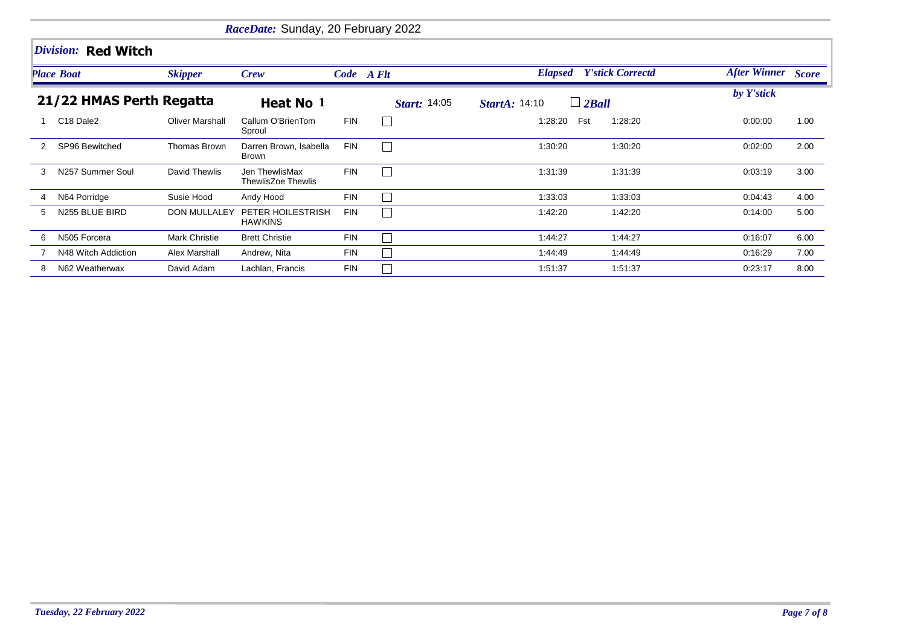|               |                                   |                        | RaceDate: Sunday, 20 February 2022     |            |                     |                                      |         |                           |      |
|---------------|-----------------------------------|------------------------|----------------------------------------|------------|---------------------|--------------------------------------|---------|---------------------------|------|
|               | Division: Red Witch               |                        |                                        |            |                     |                                      |         |                           |      |
|               | <b>Place Boat</b>                 | <b>Skipper</b>         | Crew                                   |            | Code A Flt          | <b>Elapsed</b> Y'stick Correctd      |         | <b>After Winner</b> Score |      |
|               | 21/22 HMAS Perth Regatta          |                        | Heat No 1                              |            | <i>Start:</i> 14:05 | $\Box$ 2Ball<br><b>StartA: 14:10</b> |         | by Y'stick                |      |
|               | C <sub>18</sub> Dale <sub>2</sub> | <b>Oliver Marshall</b> | Callum O'BrienTom<br>Sproul            | <b>FIN</b> | $\perp$             | 1:28:20<br>Fst                       | 1:28:20 | 0:00:00                   | 1.00 |
| $\mathcal{P}$ | SP96 Bewitched                    | Thomas Brown           | Darren Brown, Isabella<br><b>Brown</b> | <b>FIN</b> | $\Box$              | 1:30:20                              | 1:30:20 | 0:02:00                   | 2.00 |
| 3             | N257 Summer Soul                  | David Thewlis          | Jen ThewlisMax<br>ThewlisZoe Thewlis   | <b>FIN</b> | $\vert \ \ \vert$   | 1:31:39                              | 1:31:39 | 0:03:19                   | 3.00 |
| 4             | N64 Porridge                      | Susie Hood             | Andy Hood                              | <b>FIN</b> | $\vert$ $\vert$     | 1:33:03                              | 1:33:03 | 0.04:43                   | 4.00 |
| 5             | N255 BLUE BIRD                    | <b>DON MULLALEY</b>    | PETER HOILESTRISH<br><b>HAWKINS</b>    | <b>FIN</b> | $\vert \ \ \vert$   | 1:42:20                              | 1:42:20 | 0.14:00                   | 5.00 |
| 6             | N505 Forcera                      | Mark Christie          | <b>Brett Christie</b>                  | <b>FIN</b> | $\perp$             | 1:44:27                              | 1:44:27 | 0:16:07                   | 6.00 |
|               | N48 Witch Addiction               | Alex Marshall          | Andrew, Nita                           | <b>FIN</b> | $\perp$             | 1:44:49                              | 1:44:49 | 0:16:29                   | 7.00 |
| 8             | N62 Weatherwax                    | David Adam             | Lachlan, Francis                       | <b>FIN</b> | $\vert \ \ \vert$   | 1:51:37                              | 1:51:37 | 0:23:17                   | 8.00 |